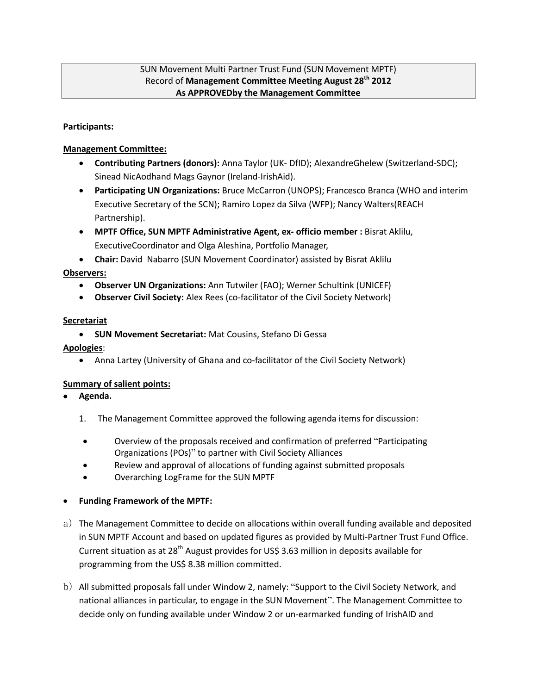#### SUN Movement Multi Partner Trust Fund (SUN Movement MPTF) Record of **Management Committee Meeting August 28th 2012 As APPROVEDby the Management Committee**

#### **Participants:**

#### **Management Committee:**

- **Contributing Partners (donors):** Anna Taylor (UK- DfID); AlexandreGhelew (Switzerland-SDC); Sinead NicAodhand Mags Gaynor (Ireland-IrishAid).
- **Participating UN Organizations:** Bruce McCarron (UNOPS); Francesco Branca (WHO and interim Executive Secretary of the SCN); Ramiro Lopez da Silva (WFP); Nancy Walters(REACH Partnership).
- **MPTF Office, SUN MPTF Administrative Agent, ex- officio member :** Bisrat Aklilu, ExecutiveCoordinator and Olga Aleshina, Portfolio Manager,
- **Chair:** David Nabarro (SUN Movement Coordinator) assisted by Bisrat Aklilu

## **Observers:**

- **Observer UN Organizations:** Ann Tutwiler (FAO); Werner Schultink (UNICEF)
- **Observer Civil Society:** Alex Rees (co-facilitator of the Civil Society Network)

#### **Secretariat**

**SUN Movement Secretariat:** Mat Cousins, Stefano Di Gessa

#### **Apologies**:

Anna Lartey (University of Ghana and co-facilitator of the Civil Society Network)

## **Summary of salient points:**

- **Agenda.** 
	- 1. The Management Committee approved the following agenda items for discussion:
	- Overview of the proposals received and confirmation of preferred "Participating Organizations (POs)" to partner with Civil Society Alliances
	- Review and approval of allocations of funding against submitted proposals
	- Overarching LogFrame for the SUN MPTF

## **Funding Framework of the MPTF:**

- a) The Management Committee to decide on allocations within overall funding available and deposited in SUN MPTF Account and based on updated figures as provided by Multi-Partner Trust Fund Office. Current situation as at  $28<sup>th</sup>$  August provides for US\$ 3.63 million in deposits available for programming from the US\$ 8.38 million committed.
- b) All submitted proposals fall under Window 2, namely: "Support to the Civil Society Network, and national alliances in particular, to engage in the SUN Movement". The Management Committee to decide only on funding available under Window 2 or un-earmarked funding of IrishAID and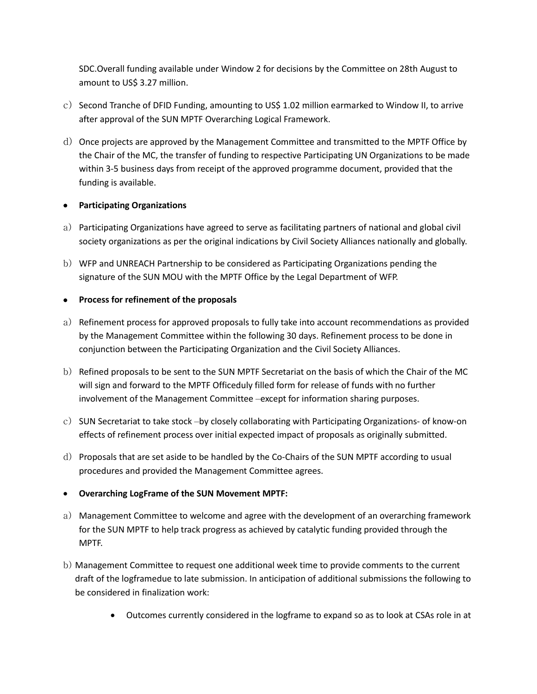SDC.Overall funding available under Window 2 for decisions by the Committee on 28th August to amount to US\$ 3.27 million.

- c) Second Tranche of DFID Funding, amounting to US\$ 1.02 million earmarked to Window II, to arrive after approval of the SUN MPTF Overarching Logical Framework.
- d) Once projects are approved by the Management Committee and transmitted to the MPTF Office by the Chair of the MC, the transfer of funding to respective Participating UN Organizations to be made within 3-5 business days from receipt of the approved programme document, provided that the funding is available.

## **Participating Organizations**

- a) Participating Organizations have agreed to serve as facilitating partners of national and global civil society organizations as per the original indications by Civil Society Alliances nationally and globally.
- b) WFP and UNREACH Partnership to be considered as Participating Organizations pending the signature of the SUN MOU with the MPTF Office by the Legal Department of WFP.

# **Process for refinement of the proposals**

- a) Refinement process for approved proposals to fully take into account recommendations as provided by the Management Committee within the following 30 days. Refinement process to be done in conjunction between the Participating Organization and the Civil Society Alliances.
- b) Refined proposals to be sent to the SUN MPTF Secretariat on the basis of which the Chair of the MC will sign and forward to the MPTF Officeduly filled form for release of funds with no further involvement of the Management Committee –except for information sharing purposes.
- c) SUN Secretariat to take stock –by closely collaborating with Participating Organizations- of know-on effects of refinement process over initial expected impact of proposals as originally submitted.
- d) Proposals that are set aside to be handled by the Co-Chairs of the SUN MPTF according to usual procedures and provided the Management Committee agrees.

## **Overarching LogFrame of the SUN Movement MPTF:**

- a) Management Committee to welcome and agree with the development of an overarching framework for the SUN MPTF to help track progress as achieved by catalytic funding provided through the MPTF.
- b) Management Committee to request one additional week time to provide comments to the current draft of the logframedue to late submission. In anticipation of additional submissions the following to be considered in finalization work:
	- Outcomes currently considered in the logframe to expand so as to look at CSAs role in at